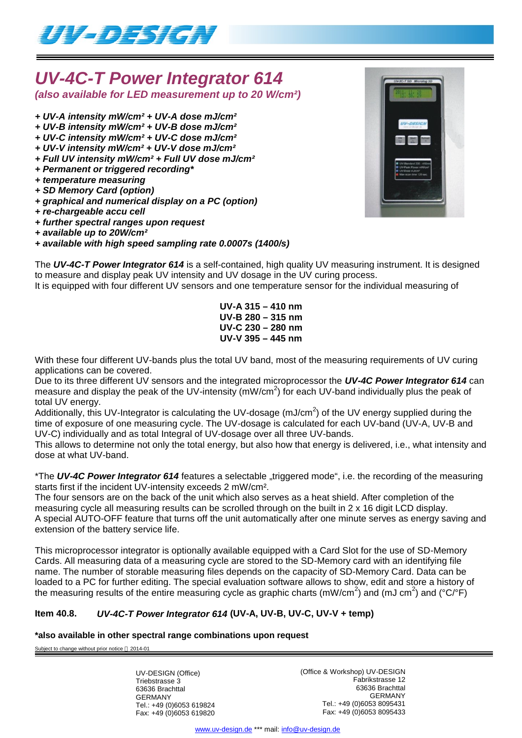

# *UV-4C-T Power Integrator 614 (also available for LED measurement up to 20 W/cm²)*

- *+ UV-A intensity mW/cm² + UV-A dose mJ/cm²*
- *+ UV-B intensity mW/cm² + UV-B dose mJ/cm²*
- *+ UV-C intensity mW/cm² + UV-C dose mJ/cm²*
- *+ UV-V intensity mW/cm² + UV-V dose mJ/cm²*
- *+ Full UV intensity mW/cm² + Full UV dose mJ/cm²*
- *+ Permanent or triggered recording\**
- *+ temperature measuring*
- *+ SD Memory Card (option)*
- *+ graphical and numerical display on a PC (option)*
- *+ re-chargeable accu cell*
- *+ further spectral ranges upon request*
- *+ available up to 20W/cm²*
- *+ available with high speed sampling rate 0.0007s (1400/s)*

The *UV-4C-T Power Integrator 614* is a self-contained, high quality UV measuring instrument. It is designed to measure and display peak UV intensity and UV dosage in the UV curing process.

It is equipped with four different UV sensors and one temperature sensor for the individual measuring of

**UV-A 315 – 410 nm UV-B 280 – 315 nm UV-C 230 – 280 nm UV-V 395 – 445 nm**

With these four different UV-bands plus the total UV band, most of the measuring requirements of UV curing applications can be covered.

Due to its three different UV sensors and the integrated microprocessor the *UV-4C Power Integrator 614* can measure and display the peak of the UV-intensity (mW/cm<sup>2</sup>) for each UV-band individually plus the peak of total UV energy.

Additionally, this UV-Integrator is calculating the UV-dosage (mJ/cm<sup>2</sup>) of the UV energy supplied during the time of exposure of one measuring cycle. The UV-dosage is calculated for each UV-band (UV-A, UV-B and UV-C) individually and as total Integral of UV-dosage over all three UV-bands.

This allows to determine not only the total energy, but also how that energy is delivered, i.e., what intensity and dose at what UV-band.

\*The UV-4C Power Integrator 614 features a selectable "triggered mode", i.e. the recording of the measuring starts first if the incident UV-intensity exceeds 2 mW/cm².

The four sensors are on the back of the unit which also serves as a heat shield. After completion of the measuring cycle all measuring results can be scrolled through on the built in 2 x 16 digit LCD display. A special AUTO-OFF feature that turns off the unit automatically after one minute serves as energy saving and extension of the battery service life.

This microprocessor integrator is optionally available equipped with a Card Slot for the use of SD-Memory Cards. All measuring data of a measuring cycle are stored to the SD-Memory card with an identifying file name. The number of storable measuring files depends on the capacity of SD-Memory Card. Data can be loaded to a PC for further editing. The special evaluation software allows to show, edit and store a history of the measuring results of the entire measuring cycle as graphic charts (mW/cm<sup>2</sup>) and (mJ cm<sup>2</sup>) and (°C/°F)

# **Item 40.8.** *UV-4C-T Power Integrator 614* **(UV-A, UV-B, UV-C, UV-V + temp)**

#### **\*also available in other spectral range combinations upon request**

Subject to change without prior notice  $@$  2014-01

UV-DESIGN (Office) Triebstrasse 3 63636 Brachttal GERMANY Tel.: +49 (0)6053 619824 Fax: +49 (0)6053 619820